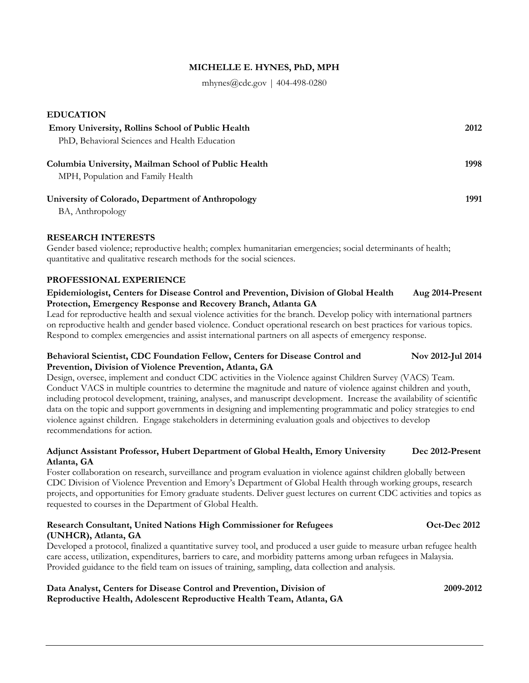## **MICHELLE E. HYNES, PhD, MPH**

mhynes@cdc.gov | 404-498-0280

| <b>EDUCATION</b>                                                                          |      |
|-------------------------------------------------------------------------------------------|------|
| <b>Emory University, Rollins School of Public Health</b>                                  | 2012 |
| PhD, Behavioral Sciences and Health Education                                             |      |
| Columbia University, Mailman School of Public Health<br>MPH, Population and Family Health | 1998 |
| University of Colorado, Department of Anthropology                                        | 1991 |

BA, Anthropology

### **RESEARCH INTERESTS**

Gender based violence; reproductive health; complex humanitarian emergencies; social determinants of health; quantitative and qualitative research methods for the social sciences.

### **PROFESSIONAL EXPERIENCE**

### **Epidemiologist, Centers for Disease Control and Prevention, Division of Global Health Aug 2014-Present Protection, Emergency Response and Recovery Branch, Atlanta GA**

Lead for reproductive health and sexual violence activities for the branch. Develop policy with international partners on reproductive health and gender based violence. Conduct operational research on best practices for various topics. Respond to complex emergencies and assist international partners on all aspects of emergency response.

### **Behavioral Scientist, CDC Foundation Fellow, Centers for Disease Control and Nov 2012-Jul 2014 Prevention, Division of Violence Prevention, Atlanta, GA**

Design, oversee, implement and conduct CDC activities in the Violence against Children Survey (VACS) Team. Conduct VACS in multiple countries to determine the magnitude and nature of violence against children and youth, including protocol development, training, analyses, and manuscript development. Increase the availability of scientific data on the topic and support governments in designing and implementing programmatic and policy strategies to end violence against children. Engage stakeholders in determining evaluation goals and objectives to develop recommendations for action.

## **Adjunct Assistant Professor, Hubert Department of Global Health, Emory University Dec 2012-Present Atlanta, GA**

Foster collaboration on research, surveillance and program evaluation in violence against children globally between CDC Division of Violence Prevention and Emory's Department of Global Health through working groups, research projects, and opportunities for Emory graduate students. Deliver guest lectures on current CDC activities and topics as requested to courses in the Department of Global Health.

#### **Research Consultant, United Nations High Commissioner for Refugees Oct-Dec 2012 (UNHCR), Atlanta, GA**

Developed a protocol, finalized a quantitative survey tool, and produced a user guide to measure urban refugee health care access, utilization, expenditures, barriers to care, and morbidity patterns among urban refugees in Malaysia. Provided guidance to the field team on issues of training, sampling, data collection and analysis.

**Data Analyst, Centers for Disease Control and Prevention, Division of 2009-2012 Reproductive Health, Adolescent Reproductive Health Team, Atlanta, GA**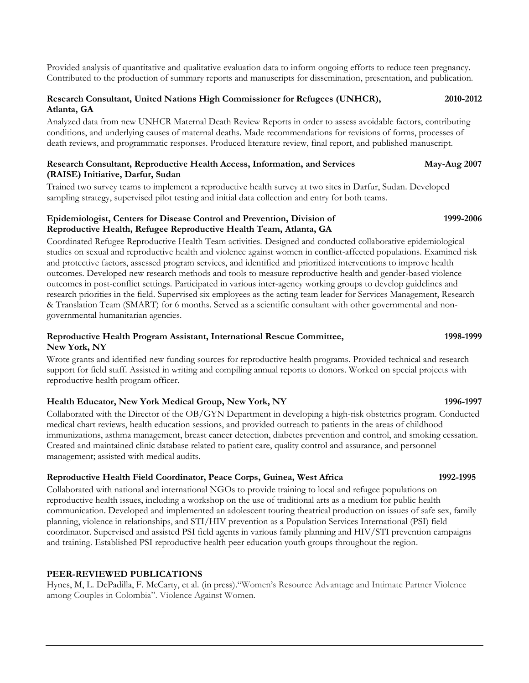Provided analysis of quantitative and qualitative evaluation data to inform ongoing efforts to reduce teen pregnancy. Contributed to the production of summary reports and manuscripts for dissemination, presentation, and publication.

## **Research Consultant, United Nations High Commissioner for Refugees (UNHCR), 2010-2012 Atlanta, GA**

Analyzed data from new UNHCR Maternal Death Review Reports in order to assess avoidable factors, contributing conditions, and underlying causes of maternal deaths. Made recommendations for revisions of forms, processes of death reviews, and programmatic responses. Produced literature review, final report, and published manuscript.

### **Research Consultant, Reproductive Health Access, Information, and Services May-Aug 2007 (RAISE) Initiative, Darfur, Sudan**

Trained two survey teams to implement a reproductive health survey at two sites in Darfur, Sudan. Developed sampling strategy, supervised pilot testing and initial data collection and entry for both teams.

## **Epidemiologist, Centers for Disease Control and Prevention, Division of 1999-2006 Reproductive Health, Refugee Reproductive Health Team, Atlanta, GA**

Coordinated Refugee Reproductive Health Team activities. Designed and conducted collaborative epidemiological studies on sexual and reproductive health and violence against women in conflict-affected populations. Examined risk and protective factors, assessed program services, and identified and prioritized interventions to improve health outcomes. Developed new research methods and tools to measure reproductive health and gender-based violence outcomes in post-conflict settings. Participated in various inter-agency working groups to develop guidelines and research priorities in the field. Supervised six employees as the acting team leader for Services Management, Research & Translation Team (SMART) for 6 months. Served as a scientific consultant with other governmental and nongovernmental humanitarian agencies.

## **Reproductive Health Program Assistant, International Rescue Committee, 1998-1999 New York, NY**

Wrote grants and identified new funding sources for reproductive health programs. Provided technical and research support for field staff. Assisted in writing and compiling annual reports to donors. Worked on special projects with reproductive health program officer.

# **Health Educator, New York Medical Group, New York, NY 1996-1997**

Collaborated with the Director of the OB/GYN Department in developing a high-risk obstetrics program. Conducted medical chart reviews, health education sessions, and provided outreach to patients in the areas of childhood immunizations, asthma management, breast cancer detection, diabetes prevention and control, and smoking cessation. Created and maintained clinic database related to patient care, quality control and assurance, and personnel management; assisted with medical audits.

# **Reproductive Health Field Coordinator, Peace Corps, Guinea, West Africa 1992-1995**

Collaborated with national and international NGOs to provide training to local and refugee populations on reproductive health issues, including a workshop on the use of traditional arts as a medium for public health communication. Developed and implemented an adolescent touring theatrical production on issues of safe sex, family planning, violence in relationships, and STI/HIV prevention as a Population Services International (PSI) field coordinator. Supervised and assisted PSI field agents in various family planning and HIV/STI prevention campaigns and training. Established PSI reproductive health peer education youth groups throughout the region.

# **PEER-REVIEWED PUBLICATIONS**

Hynes, M, L. DePadilla, F. McCarty, et al. (in press)."Women's Resource Advantage and Intimate Partner Violence among Couples in Colombia". Violence Against Women.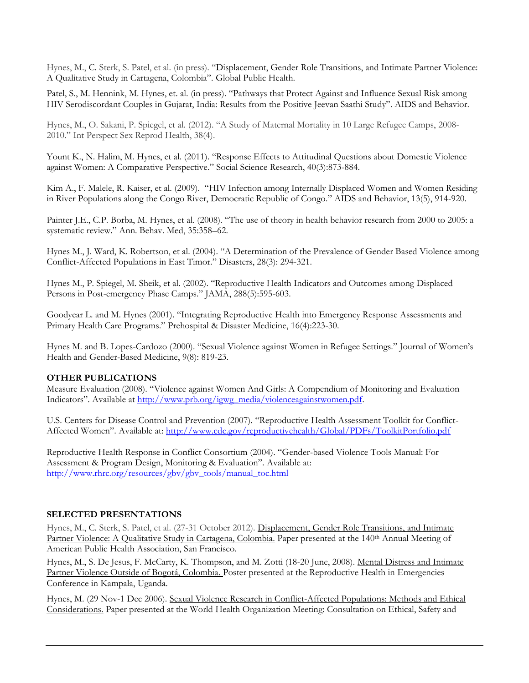Hynes, M., C. Sterk, S. Patel, et al. (in press). "Displacement, Gender Role Transitions, and Intimate Partner Violence: A Qualitative Study in Cartagena, Colombia". Global Public Health.

Patel, S., M. Hennink, M. Hynes, et. al. (in press). "Pathways that Protect Against and Influence Sexual Risk among HIV Serodiscordant Couples in Gujarat, India: Results from the Positive Jeevan Saathi Study". AIDS and Behavior.

Hynes, M., O. Sakani, P. Spiegel, et al. (2012). "A Study of Maternal Mortality in 10 Large Refugee Camps, 2008- 2010." Int Perspect Sex Reprod Health, 38(4).

Yount K., N. Halim, M. Hynes, et al. (2011). "Response Effects to Attitudinal Questions about Domestic Violence against Women: A Comparative Perspective." Social Science Research, 40(3):873-884.

Kim A., F. Malele, R. Kaiser, et al. (2009). "HIV Infection among Internally Displaced Women and Women Residing in River Populations along the Congo River, Democratic Republic of Congo." AIDS and Behavior, 13(5), 914-920.

Painter J.E., C.P. Borba, M. Hynes, et al. (2008). "The use of theory in health behavior research from 2000 to 2005: a systematic review." Ann. Behav. Med, 35:358–62.

Hynes M., J. Ward, K. Robertson, et al. (2004). "A Determination of the Prevalence of Gender Based Violence among Conflict-Affected Populations in East Timor." Disasters, 28(3): 294-321.

Hynes M., P. Spiegel, M. Sheik, et al. (2002). "Reproductive Health Indicators and Outcomes among Displaced Persons in Post-emergency Phase Camps." JAMA, 288(5):595-603.

Goodyear L. and M. Hynes (2001). "Integrating Reproductive Health into Emergency Response Assessments and Primary Health Care Programs." Prehospital & Disaster Medicine, 16(4):223-30.

Hynes M. and B. Lopes-Cardozo (2000). "Sexual Violence against Women in Refugee Settings." Journal of Women's Health and Gender-Based Medicine, 9(8): 819-23.

#### **OTHER PUBLICATIONS**

Measure Evaluation (2008). "Violence against Women And Girls: A Compendium of Monitoring and Evaluation Indicators". Available at http://www.prb.org/igwg\_media/violenceagainstwomen.pdf.

U.S. Centers for Disease Control and Prevention (2007). "Reproductive Health Assessment Toolkit for Conflict-Affected Women". Available at:<http://www.cdc.gov/reproductivehealth/Global/PDFs/ToolkitPortfolio.pdf>

Reproductive Health Response in Conflict Consortium (2004). "Gender-based Violence Tools Manual: For Assessment & Program Design, Monitoring & Evaluation". Available at: [http://www.rhrc.org/resources/gbv/gbv\\_tools/manual\\_toc.html](http://www.rhrc.org/resources/gbv/gbv_tools/manual_toc.html)

## **SELECTED PRESENTATIONS**

Hynes, M., C. Sterk, S. Patel, et al. (27-31 October 2012). Displacement, Gender Role Transitions, and Intimate Partner Violence: A Qualitative Study in Cartagena, Colombia. Paper presented at the 140<sup>th</sup> Annual Meeting of American Public Health Association, San Francisco.

Hynes, M., S. De Jesus, F. McCarty, K. Thompson, and M. Zotti (18-20 June, 2008). Mental Distress and Intimate Partner Violence Outside of Bogotá, Colombia. Poster presented at the Reproductive Health in Emergencies Conference in Kampala, Uganda.

Hynes, M. (29 Nov-1 Dec 2006). Sexual Violence Research in Conflict-Affected Populations: Methods and Ethical Considerations. Paper presented at the World Health Organization Meeting: Consultation on Ethical, Safety and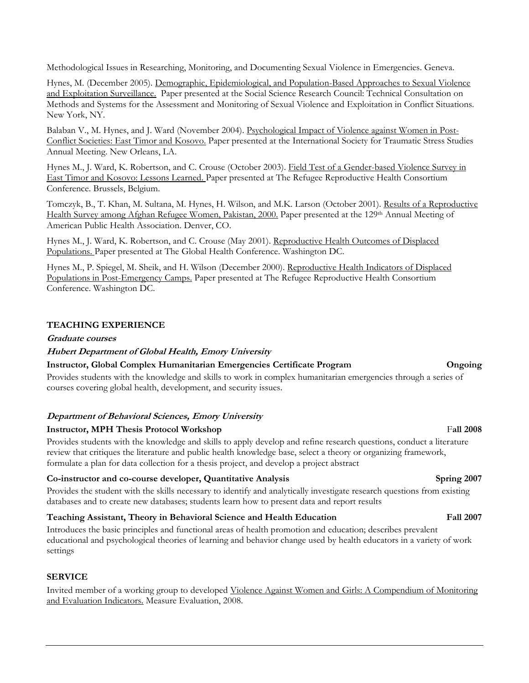Methodological Issues in Researching, Monitoring, and Documenting Sexual Violence in Emergencies. Geneva.

Hynes, M. (December 2005). Demographic, Epidemiological, and Population-Based Approaches to Sexual Violence and Exploitation Surveillance. Paper presented at the Social Science Research Council: Technical Consultation on Methods and Systems for the Assessment and Monitoring of Sexual Violence and Exploitation in Conflict Situations. New York, NY.

Balaban V., M. Hynes, and J. Ward (November 2004). Psychological Impact of Violence against Women in Post-Conflict Societies: East Timor and Kosovo. Paper presented at the International Society for Traumatic Stress Studies Annual Meeting. New Orleans, LA.

Hynes M., J. Ward, K. Robertson, and C. Crouse (October 2003). Field Test of a Gender-based Violence Survey in East Timor and Kosovo: Lessons Learned. Paper presented at The Refugee Reproductive Health Consortium Conference. Brussels, Belgium.

Tomczyk, B., T. Khan, M. Sultana, M. Hynes, H. Wilson, and M.K. Larson (October 2001). Results of a Reproductive Health Survey among Afghan Refugee Women, Pakistan, 2000. Paper presented at the 129<sup>th</sup> Annual Meeting of American Public Health Association. Denver, CO.

Hynes M., J. Ward, K. Robertson, and C. Crouse (May 2001). Reproductive Health Outcomes of Displaced Populations. Paper presented at The Global Health Conference. Washington DC.

Hynes M., P. Spiegel, M. Sheik, and H. Wilson (December 2000). Reproductive Health Indicators of Displaced Populations in Post-Emergency Camps. Paper presented at The Refugee Reproductive Health Consortium Conference. Washington DC.

## **TEACHING EXPERIENCE**

### **Graduate courses**

### **Hubert Department of Global Health, Emory University**

### **Instructor, Global Complex Humanitarian Emergencies Certificate Program Ongoing**

Provides students with the knowledge and skills to work in complex humanitarian emergencies through a series of courses covering global health, development, and security issues.

#### **Department of Behavioral Sciences, Emory University**

## **Instructor, MPH Thesis Protocol Workshop** Fall 2008

Provides students with the knowledge and skills to apply develop and refine research questions, conduct a literature review that critiques the literature and public health knowledge base, select a theory or organizing framework, formulate a plan for data collection for a thesis project, and develop a project abstract

## **Co-instructor and co-course developer, Quantitative Analysis Spring 2007**

Provides the student with the skills necessary to identify and analytically investigate research questions from existing databases and to create new databases; students learn how to present data and report results

## **Teaching Assistant, Theory in Behavioral Science and Health Education Fall 2007**

Introduces the basic principles and functional areas of health promotion and education; describes prevalent educational and psychological theories of learning and behavior change used by health educators in a variety of work settings

#### **SERVICE**

Invited member of a working group to developed Violence Against Women and Girls: A Compendium of Monitoring and Evaluation Indicators. Measure Evaluation, 2008.